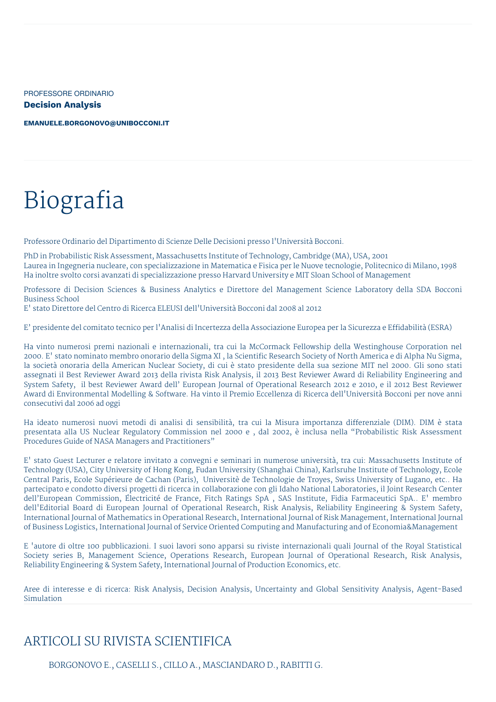PROFESSORE ORDINARIO **Decision Analysis**

**[EMANUELE.BORGONOVO@UNIBOCCONI.IT](mailto:emanuele.borgonovo@unibocconi.it)**

# Biografia

Professore Ordinario del Dipartimento di Scienze Delle Decisioni presso l'Università Bocconi.

PhD in Probabilistic Risk Assessment, Massachusetts Institute of Technology, Cambridge (MA), USA, 2001 Laurea in Ingegneria nucleare, con specializzazione in Matematica e Fisica per le Nuove tecnologie, Politecnico di Milano, 1998 Ha inoltre svolto corsi avanzati di specializzazione presso Harvard University e MIT Sloan School of Management

Professore di Decision Sciences & Business Analytics e Direttore del Management Science Laboratory della SDA Bocconi Business School

E' stato Direttore del Centro di Ricerca ELEUSI dell'Università Bocconi dal 2008 al 2012

E' presidente del comitato tecnico per l'Analisi di Incertezza della Associazione Europea per la Sicurezza e Effidabilità (ESRA)

Ha vinto numerosi premi nazionali e internazionali, tra cui la McCormack Fellowship della Westinghouse Corporation nel 2000. E' stato nominato membro onorario della Sigma XI , la Scientific Research Society of North America e di Alpha Nu Sigma, la società onoraria della American Nuclear Society, di cui è stato presidente della sua sezione MIT nel 2000. Gli sono stati assegnati il Best Reviewer Award 2013 della rivista Risk Analysis, il 2013 Best Reviewer Award di Reliability Engineering and System Safety, il best Reviewer Award dell' European Journal of Operational Research 2012 e 2010, e il 2012 Best Reviewer Award di Environmental Modelling & Software. Ha vinto il Premio Eccellenza di Ricerca dell'Università Bocconi per nove anni consecutivi dal 2006 ad oggi

Ha ideato numerosi nuovi metodi di analisi di sensibilità, tra cui la Misura importanza differenziale (DIM). DIM è stata presentata alla US Nuclear Regulatory Commission nel 2000 e , dal 2002, è inclusa nella "Probabilistic Risk Assessment Procedures Guide of NASA Managers and Practitioners"

E' stato Guest Lecturer e relatore invitato a convegni e seminari in numerose università, tra cui: Massachusetts Institute of Technology (USA), City University of Hong Kong, Fudan University (Shanghai China), Karlsruhe Institute of Technology, Ecole Central Paris, Ecole Supérieure de Cachan (Paris), Universitè de Technologie de Troyes, Swiss University of Lugano, etc.. Ha partecipato e condotto diversi progetti di ricerca in collaborazione con gli Idaho National Laboratories, il Joint Research Center dell'European Commission, Électricité de France, Fitch Ratings SpA , SAS Institute, Fidia Farmaceutici SpA.. E' membro dell'Editorial Board di European Journal of Operational Research, Risk Analysis, Reliability Engineering & System Safety, International Journal of Mathematics in Operational Research, International Journal of Risk Management, International Journal of Business Logistics, International Journal of Service Oriented Computing and Manufacturing and of Economia&Management

E 'autore di oltre 100 pubblicazioni. I suoi lavori sono apparsi su riviste internazionali quali Journal of the Royal Statistical Society series B, Management Science, Operations Research, European Journal of Operational Research, Risk Analysis, Reliability Engineering & System Safety, International Journal of Production Economics, etc.

Aree di interesse e di ricerca: Risk Analysis, Decision Analysis, Uncertainty and Global Sensitivity Analysis, Agent-Based Simulation

# ARTICOLI SU RIVISTA SCIENTIFICA

BORGONOVO E., CASELLI S., CILLO A., MASCIANDARO D., RABITTI G.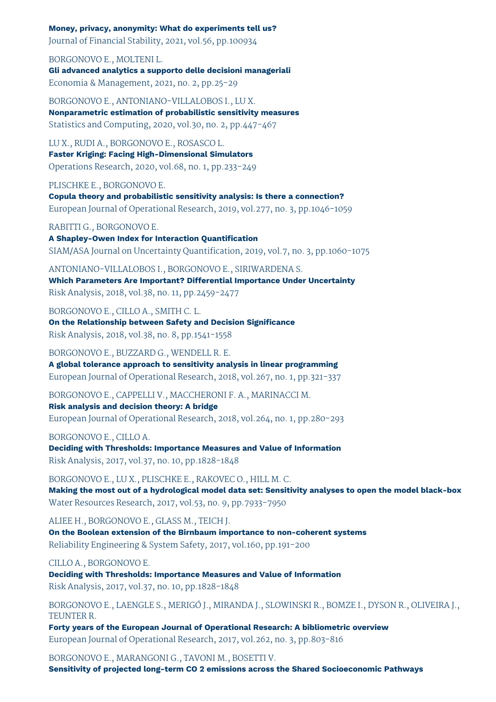**Money, privacy, anonymity: What do experiments tell us?** Journal of Financial Stability, 2021, vol.56, pp.100934

BORGONOVO E., MOLTENI L. **Gli advanced analytics a supporto delle decisioni manageriali** Economia & Management, 2021, no. 2, pp.25-29

BORGONOVO E., ANTONIANO-VILLALOBOS I., LU X. **Nonparametric estimation of probabilistic sensitivity measures** Statistics and Computing, 2020, vol.30, no. 2, pp.447-467

LU X., RUDI A., BORGONOVO E., ROSASCO L. **Faster Kriging: Facing High-Dimensional Simulators** Operations Research, 2020, vol.68, no. 1, pp.233-249

PLISCHKE E., BORGONOVO E. **Copula theory and probabilistic sensitivity analysis: Is there a connection?** European Journal of Operational Research, 2019, vol.277, no. 3, pp.1046-1059

RABITTI G., BORGONOVO E. **A Shapley-Owen Index for Interaction Quantification** SIAM/ASA Journal on Uncertainty Quantification, 2019, vol.7, no. 3, pp.1060-1075

ANTONIANO-VILLALOBOS I., BORGONOVO E., SIRIWARDENA S. **Which Parameters Are Important? Differential Importance Under Uncertainty** Risk Analysis, 2018, vol.38, no. 11, pp.2459-2477

BORGONOVO E., CILLO A., SMITH C. L. **On the Relationship between Safety and Decision Significance** Risk Analysis, 2018, vol.38, no. 8, pp.1541-1558

BORGONOVO E., BUZZARD G., WENDELL R. E. **A global tolerance approach to sensitivity analysis in linear programming** European Journal of Operational Research, 2018, vol.267, no. 1, pp.321-337

BORGONOVO E., CAPPELLI V., MACCHERONI F. A., MARINACCI M. **Risk analysis and decision theory: A bridge** European Journal of Operational Research, 2018, vol.264, no. 1, pp.280-293

#### BORGONOVO E., CILLO A.

**Deciding with Thresholds: Importance Measures and Value of Information** Risk Analysis, 2017, vol.37, no. 10, pp.1828-1848

BORGONOVO E., LU X., PLISCHKE E., RAKOVEC O., HILL M. C. **Making the most out of a hydrological model data set: Sensitivity analyses to open the model black-box** Water Resources Research, 2017, vol.53, no. 9, pp.7933-7950

ALIEE H., BORGONOVO E., GLASS M., TEICH J. **On the Boolean extension of the Birnbaum importance to non-coherent systems** Reliability Engineering & System Safety, 2017, vol.160, pp.191-200

CILLO A., BORGONOVO E.

**Deciding with Thresholds: Importance Measures and Value of Information** Risk Analysis, 2017, vol.37, no. 10, pp.1828-1848

BORGONOVO E., LAENGLE S., MERIGÓ J., MIRANDA J., SLOWINSKI R., BOMZE I., DYSON R., OLIVEIRA J., TEUNTER R.

**Forty years of the European Journal of Operational Research: A bibliometric overview** European Journal of Operational Research, 2017, vol.262, no. 3, pp.803-816

BORGONOVO E., MARANGONI G., TAVONI M., BOSETTI V. **Sensitivity of projected long-term CO 2 emissions across the Shared Socioeconomic Pathways**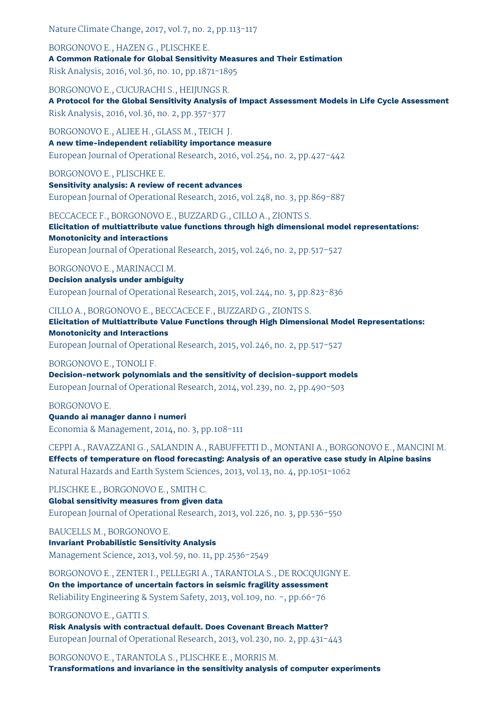Nature Climate Change, 2017, vol.7, no. 2, pp.113-117

BORGONOVO E., HAZEN G., PLISCHKE E.

**A Common Rationale for Global Sensitivity Measures and Their Estimation**

Risk Analysis, 2016, vol.36, no. 10, pp.1871-1895

BORGONOVO E., CUCURACHI S., HEIJUNGS R.

**A Protocol for the Global Sensitivity Analysis of Impact Assessment Models in Life Cycle Assessment** Risk Analysis, 2016, vol.36, no. 2, pp.357-377

BORGONOVO E., ALIEE H., GLASS M., TEICH J. **A new time-independent reliability importance measure** European Journal of Operational Research, 2016, vol.254, no. 2, pp.427-442

BORGONOVO E., PLISCHKE E.

**Sensitivity analysis: A review of recent advances** European Journal of Operational Research, 2016, vol.248, no. 3, pp.869-887

BECCACECE F., BORGONOVO E., BUZZARD G., CILLO A., ZIONTS S.

**Elicitation of multiattribute value functions through high dimensional model representations: Monotonicity and interactions** European Journal of Operational Research, 2015, vol.246, no. 2, pp.517-527

BORGONOVO E., MARINACCI M.

**Decision analysis under ambiguity** European Journal of Operational Research, 2015, vol.244, no. 3, pp.823-836

CILLO A., BORGONOVO E., BECCACECE F., BUZZARD G., ZIONTS S. **Elicitation of Multiattribute Value Functions through High Dimensional Model Representations: Monotonicity and Interactions**

European Journal of Operational Research, 2015, vol.246, no. 2, pp.517-527

#### BORGONOVO E., TONOLI F.

**Decision-network polynomials and the sensitivity of decision-support models** European Journal of Operational Research, 2014, vol.239, no. 2, pp.490-503

BORGONOVO E.

**Quando ai manager danno i numeri** Economia & Management, 2014, no. 3, pp.108-111

CEPPI A., RAVAZZANI G., SALANDIN A., RABUFFETTI D., MONTANI A., BORGONOVO E., MANCINI M. **Effects of temperature on flood forecasting: Analysis of an operative case study in Alpine basins** Natural Hazards and Earth System Sciences, 2013, vol.13, no. 4, pp.1051-1062

PLISCHKE E., BORGONOVO E., SMITH C.

**Global sensitivity measures from given data** European Journal of Operational Research, 2013, vol.226, no. 3, pp.536-550

BAUCELLS M., BORGONOVO E.

**Invariant Probabilistic Sensitivity Analysis**

Management Science, 2013, vol.59, no. 11, pp.2536-2549

BORGONOVO E., ZENTER I., PELLEGRI A., TARANTOLA S., DE ROCQUIGNY E. **On the importance of uncertain factors in seismic fragility assessment** Reliability Engineering & System Safety, 2013, vol.109, no. -, pp.66-76

BORGONOVO E., GATTI S.

**Risk Analysis with contractual default. Does Covenant Breach Matter?** European Journal of Operational Research, 2013, vol.230, no. 2, pp.431-443

BORGONOVO E., TARANTOLA S., PLISCHKE E., MORRIS M. **Transformations and invariance in the sensitivity analysis of computer experiments**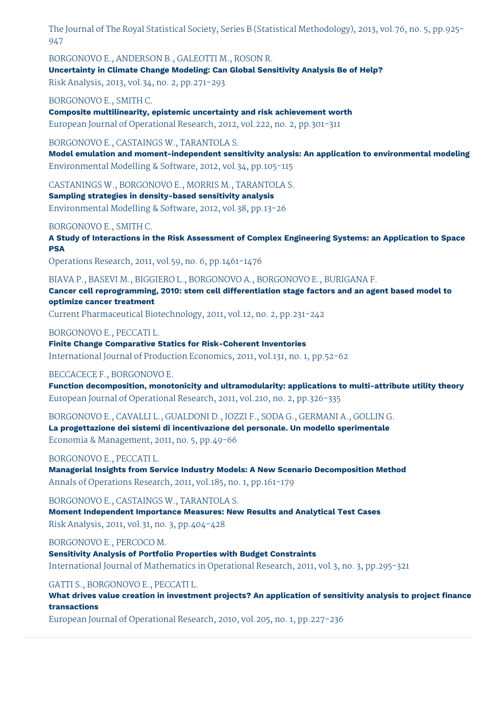The Journal of The Royal Statistical Society, Series B (Statistical Methodology), 2013, vol.76, no. 5, pp.925- 947

BORGONOVO E., ANDERSON B., GALEOTTI M., ROSON R. **Uncertainty in Climate Change Modeling: Can Global Sensitivity Analysis Be of Help?** Risk Analysis, 2013, vol.34, no. 2, pp.271-293

BORGONOVO E., SMITH C.

**Composite multilinearity, epistemic uncertainty and risk achievement worth** European Journal of Operational Research, 2012, vol.222, no. 2, pp.301-311

BORGONOVO E., CASTAINGS W., TARANTOLA S.

**Model emulation and moment-independent sensitivity analysis: An application to environmental modeling** Environmental Modelling & Software, 2012, vol.34, pp.105-115

CASTANINGS W., BORGONOVO E., MORRIS M., TARANTOLA S.

**Sampling strategies in density-based sensitivity analysis**

Environmental Modelling & Software, 2012, vol.38, pp.13-26

BORGONOVO E., SMITH C.

**A Study of Interactions in the Risk Assessment of Complex Engineering Systems: an Application to Space PSA**

Operations Research, 2011, vol.59, no. 6, pp.1461-1476

BIAVA P., BASEVI M., BIGGIERO L., BORGONOVO A., BORGONOVO E., BURIGANA F. **Cancer cell reprogramming, 2010: stem cell differentiation stage factors and an agent based model to optimize cancer treatment**

Current Pharmaceutical Biotechnology, 2011, vol.12, no. 2, pp.231-242

BORGONOVO E., PECCATI L.

**Finite Change Comparative Statics for Risk-Coherent Inventories** International Journal of Production Economics, 2011, vol.131, no. 1, pp.52-62

BECCACECE F., BORGONOVO E.

**Function decomposition, monotonicity and ultramodularity: applications to multi-attribute utility theory** European Journal of Operational Research, 2011, vol.210, no. 2, pp.326-335

BORGONOVO E., CAVALLI L., GUALDONI D., IOZZI F., SODA G., GERMANI A., GOLLIN G.

**La progettazione dei sistemi di incentivazione del personale. Un modello sperimentale**

Economia & Management, 2011, no. 5, pp.49-66

BORGONOVO E., PECCATI L.

**Managerial Insights from Service Industry Models: A New Scenario Decomposition Method** Annals of Operations Research, 2011, vol.185, no. 1, pp.161-179

BORGONOVO E., CASTAINGS W., TARANTOLA S. **Moment Independent Importance Measures: New Results and Analytical Test Cases** Risk Analysis, 2011, vol.31, no. 3, pp.404-428

BORGONOVO E., PERCOCO M.

**Sensitivity Analysis of Portfolio Properties with Budget Constraints** International Journal of Mathematics in Operational Research, 2011, vol.3, no. 3, pp.295-321

GATTI S., BORGONOVO E., PECCATI L.

**What drives value creation in investment projects? An application of sensitivity analysis to project finance transactions**

European Journal of Operational Research, 2010, vol.205, no. 1, pp.227-236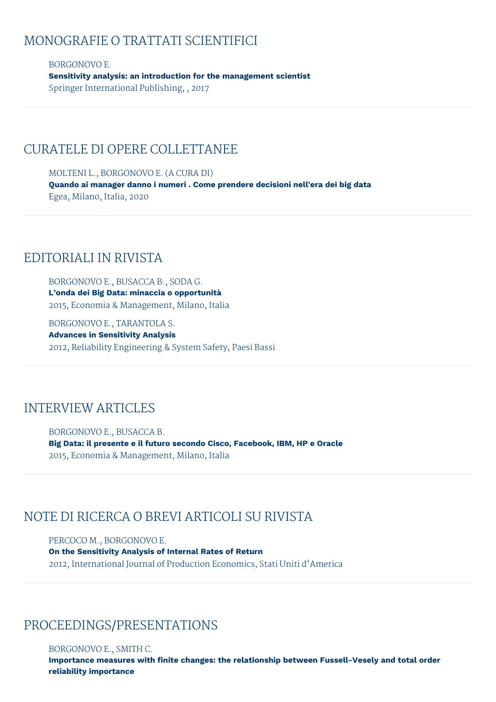# MONOGRAFIE O TRATTATI SCIENTIFICI

BORGONOVO E. **Sensitivity analysis: an introduction for the management scientist** Springer International Publishing, , 2017

### CURATELE DI OPERE COLLETTANEE

MOLTENI L., BORGONOVO E. (A CURA DI) **Quando ai manager danno i numeri . Come prendere decisioni nell'era dei big data** Egea, Milano, Italia, 2020

# EDITORIALI IN RIVISTA

BORGONOVO E., BUSACCA B., SODA G. **L'onda dei Big Data: minaccia o opportunità** 2015, Economia & Management, Milano, Italia

BORGONOVO E., TARANTOLA S. **Advances in Sensitivity Analysis** 2012, Reliability Engineering & System Safety, Paesi Bassi

# INTERVIEW ARTICLES

BORGONOVO E., BUSACCA B. **Big Data: il presente e il futuro secondo Cisco, Facebook, IBM, HP e Oracle** 2015, Economia & Management, Milano, Italia

# NOTE DI RICERCA O BREVI ARTICOLI SU RIVISTA

PERCOCO M., BORGONOVO E. **On the Sensitivity Analysis of Internal Rates of Return** 2012, International Journal of Production Economics, Stati Uniti d'America

# PROCEEDINGS/PRESENTATIONS

#### BORGONOVO E., SMITH C.

**Importance measures with finite changes: the relationship between Fussell-Vesely and total order reliability importance**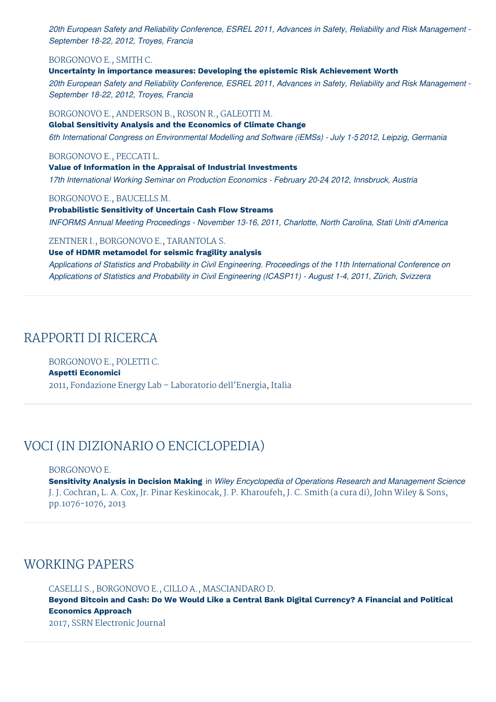20th European Safety and Reliability Conference, ESREL 2011, Advances in Safety, Reliability and Risk Management -*September 18-22, 2012, Troyes, Francia*

#### BORGONOVO E., SMITH C.

**Uncertainty in importance measures: Developing the epistemic Risk Achievement Worth** 20th European Safety and Reliability Conference, ESREL 2011, Advances in Safety, Reliability and Risk Management -*September 18-22, 2012, Troyes, Francia*

BORGONOVO E., ANDERSON B., ROSON R., GALEOTTI M. **Global Sensitivity Analysis and the Economics of Climate Change** *6th International Congress on Environmental Modelling and Software (iEMSs) - July 1-5, 2012, Leipzig, Germania*

#### BORGONOVO E., PECCATI L.

**Value of Information in the Appraisal of Industrial Investments**

*17th International Working Seminar on Production Economics - February 20-24, 2012, Innsbruck, Austria*

#### BORGONOVO E., BAUCELLS M.

**Probabilistic Sensitivity of Uncertain Cash Flow Streams** *INFORMS Annual Meeting Proceedings - November 13-16, 2011, Charlotte, North Carolina, Stati Uniti d'America*

#### ZENTNER I., BORGONOVO E., TARANTOLA S.

**Use of HDMR metamodel for seismic fragility analysis**

*Applications of Statistics and Probability in Civil Engineering. Proceedings of the 11th International Conference on Applications of Statistics and Probability in Civil Engineering (ICASP11) - August 1-4, 2011, Zürich, Svizzera*

### RAPPORTI DI RICERCA

BORGONOVO E., POLETTI C. **Aspetti Economici** 2011, Fondazione Energy Lab – Laboratorio dell'Energia, Italia

# VOCI (IN DIZIONARIO O ENCICLOPEDIA)

BORGONOVO E.

**Sensitivity Analysis in Decision Making** in *Wiley Encyclopedia of Operations Research and Management Science* J. J. Cochran, L. A. Cox, Jr. Pinar Keskinocak, J. P. Kharoufeh, J. C. Smith (a cura di), John Wiley & Sons, pp.1076-1076, 2013

# WORKING PAPERS

CASELLI S., BORGONOVO E., CILLO A., MASCIANDARO D. **Beyond Bitcoin and Cash: Do We Would Like a Central Bank Digital Currency? A Financial and Political Economics Approach** 2017, SSRN Electronic Journal